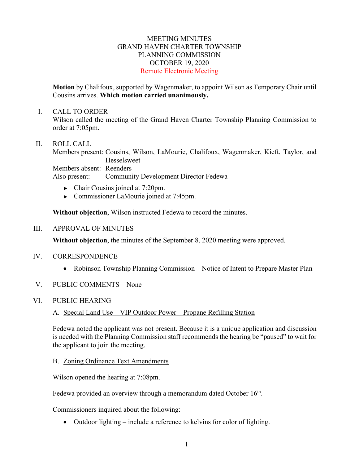### MEETING MINUTES GRAND HAVEN CHARTER TOWNSHIP PLANNING COMMISSION OCTOBER 19, 2020 Remote Electronic Meeting

**Motion** by Chalifoux, supported by Wagenmaker, to appoint Wilson as Temporary Chair until Cousins arrives. **Which motion carried unanimously.**

#### I. CALL TO ORDER

Wilson called the meeting of the Grand Haven Charter Township Planning Commission to order at 7:05pm.

### II. ROLL CALL

Members present: Cousins, Wilson, LaMourie, Chalifoux, Wagenmaker, Kieft, Taylor, and **Hesselsweet** Members absent: Reenders Also present: Community Development Director Fedewa

- ► Chair Cousins joined at 7:20pm.
- ► Commissioner LaMourie joined at 7:45pm.

**Without objection**, Wilson instructed Fedewa to record the minutes.

### III. APPROVAL OF MINUTES

**Without objection**, the minutes of the September 8, 2020 meeting were approved.

### IV. CORRESPONDENCE

- Robinson Township Planning Commission Notice of Intent to Prepare Master Plan
- V. PUBLIC COMMENTS None

### VI. PUBLIC HEARING

A. Special Land Use – VIP Outdoor Power – Propane Refilling Station

Fedewa noted the applicant was not present. Because it is a unique application and discussion is needed with the Planning Commission staff recommends the hearing be "paused" to wait for the applicant to join the meeting.

### B. Zoning Ordinance Text Amendments

Wilson opened the hearing at 7:08pm.

Fedewa provided an overview through a memorandum dated October 16<sup>th</sup>.

Commissioners inquired about the following:

• Outdoor lighting – include a reference to kelvins for color of lighting.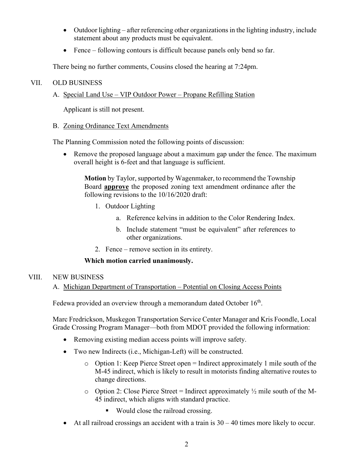- Outdoor lighting after referencing other organizations in the lighting industry, include statement about any products must be equivalent.
- Fence following contours is difficult because panels only bend so far.

There being no further comments, Cousins closed the hearing at 7:24pm.

## VII. OLD BUSINESS

# A. Special Land Use – VIP Outdoor Power – Propane Refilling Station

Applicant is still not present.

## B. Zoning Ordinance Text Amendments

The Planning Commission noted the following points of discussion:

• Remove the proposed language about a maximum gap under the fence. The maximum overall height is 6-feet and that language is sufficient.

**Motion** by Taylor, supported by Wagenmaker, to recommend the Township Board **approve** the proposed zoning text amendment ordinance after the following revisions to the 10/16/2020 draft:

- 1. Outdoor Lighting
	- a. Reference kelvins in addition to the Color Rendering Index.
	- b. Include statement "must be equivalent" after references to other organizations.
- 2. Fence remove section in its entirety.

## **Which motion carried unanimously.**

## VIII. NEW BUSINESS

A. Michigan Department of Transportation – Potential on Closing Access Points

Fedewa provided an overview through a memorandum dated October  $16<sup>th</sup>$ .

Marc Fredrickson, Muskegon Transportation Service Center Manager and Kris Foondle, Local Grade Crossing Program Manager—both from MDOT provided the following information:

- Removing existing median access points will improve safety.
- Two new Indirects (i.e., Michigan-Left) will be constructed.
	- $\circ$  Option 1: Keep Pierce Street open = Indirect approximately 1 mile south of the M-45 indirect, which is likely to result in motorists finding alternative routes to change directions.
	- $\circ$  Option 2: Close Pierce Street = Indirect approximately  $\frac{1}{2}$  mile south of the M-45 indirect, which aligns with standard practice.
		- Would close the railroad crossing.
- At all railroad crossings an accident with a train is  $30 40$  times more likely to occur.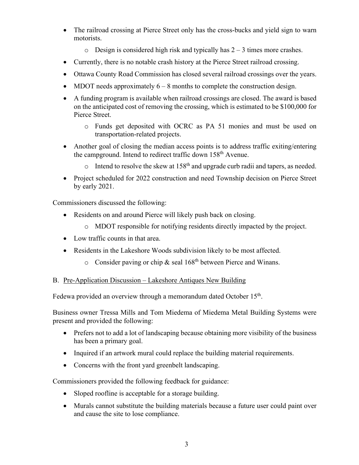- The railroad crossing at Pierce Street only has the cross-bucks and yield sign to warn motorists.
	- $\circ$  Design is considered high risk and typically has  $2 3$  times more crashes.
- Currently, there is no notable crash history at the Pierce Street railroad crossing.
- Ottawa County Road Commission has closed several railroad crossings over the years.
- MDOT needs approximately  $6 8$  months to complete the construction design.
- A funding program is available when railroad crossings are closed. The award is based on the anticipated cost of removing the crossing, which is estimated to be \$100,000 for Pierce Street.
	- o Funds get deposited with OCRC as PA 51 monies and must be used on transportation-related projects.
- Another goal of closing the median access points is to address traffic exiting/entering the campground. Intend to redirect traffic down 158<sup>th</sup> Avenue.
	- $\circ$  Intend to resolve the skew at 158<sup>th</sup> and upgrade curb radii and tapers, as needed.
- Project scheduled for 2022 construction and need Township decision on Pierce Street by early 2021.

Commissioners discussed the following:

- Residents on and around Pierce will likely push back on closing.
	- o MDOT responsible for notifying residents directly impacted by the project.
- Low traffic counts in that area.
- Residents in the Lakeshore Woods subdivision likely to be most affected.
	- $\circ$  Consider paving or chip & seal 168<sup>th</sup> between Pierce and Winans.

### B. Pre-Application Discussion – Lakeshore Antiques New Building

Fedewa provided an overview through a memorandum dated October  $15<sup>th</sup>$ .

Business owner Tressa Mills and Tom Miedema of Miedema Metal Building Systems were present and provided the following:

- Prefers not to add a lot of landscaping because obtaining more visibility of the business has been a primary goal.
- Inquired if an artwork mural could replace the building material requirements.
- Concerns with the front yard greenbelt landscaping.

Commissioners provided the following feedback for guidance:

- Sloped roofline is acceptable for a storage building.
- Murals cannot substitute the building materials because a future user could paint over and cause the site to lose compliance.